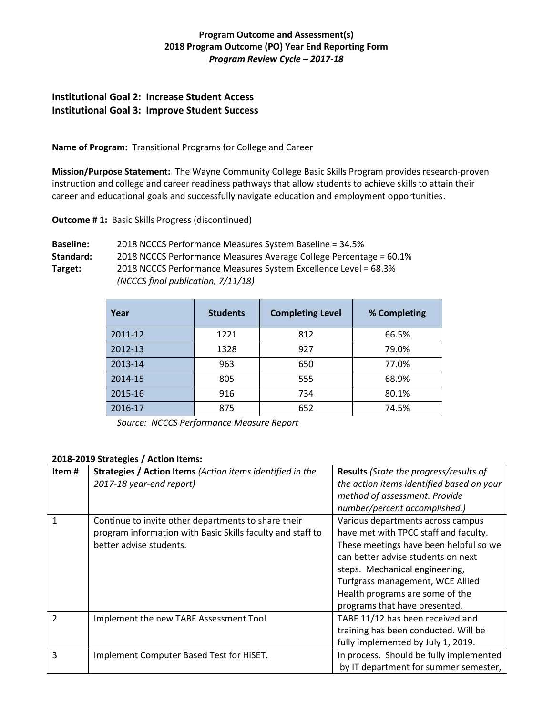# **Program Outcome and Assessment(s) 2018 Program Outcome (PO) Year End Reporting Form** *Program Review Cycle – 2017-18*

# **Institutional Goal 2: Increase Student Access Institutional Goal 3: Improve Student Success**

**Name of Program:** Transitional Programs for College and Career

**Mission/Purpose Statement:** The Wayne Community College Basic Skills Program provides research-proven instruction and college and career readiness pathways that allow students to achieve skills to attain their career and educational goals and successfully navigate education and employment opportunities.

**Outcome # 1:** Basic Skills Progress (discontinued)

**Baseline:** 2018 NCCCS Performance Measures System Baseline = 34.5% **Standard:** 2018 NCCCS Performance Measures Average College Percentage = 60.1% **Target:** 2018 NCCCS Performance Measures System Excellence Level = 68.3% *(NCCCS final publication, 7/11/18)* 

| Year    | <b>Students</b> | <b>Completing Level</b> | % Completing |
|---------|-----------------|-------------------------|--------------|
| 2011-12 | 1221            | 812                     | 66.5%        |
| 2012-13 | 1328            | 927                     | 79.0%        |
| 2013-14 | 963             | 650                     | 77.0%        |
| 2014-15 | 805             | 555                     | 68.9%        |
| 2015-16 | 916             | 734                     | 80.1%        |
| 2016-17 | 875             | 652                     | 74.5%        |

*Source: NCCCS Performance Measure Report*

## **2018-2019 Strategies / Action Items:**

| Item#          | Strategies / Action Items (Action items identified in the<br>2017-18 year-end report)                                                        | <b>Results</b> (State the progress/results of<br>the action items identified based on your<br>method of assessment. Provide<br>number/percent accomplished.)                                                                                                                                         |  |  |  |
|----------------|----------------------------------------------------------------------------------------------------------------------------------------------|------------------------------------------------------------------------------------------------------------------------------------------------------------------------------------------------------------------------------------------------------------------------------------------------------|--|--|--|
| $\mathbf{1}$   | Continue to invite other departments to share their<br>program information with Basic Skills faculty and staff to<br>better advise students. | Various departments across campus<br>have met with TPCC staff and faculty.<br>These meetings have been helpful so we<br>can better advise students on next<br>steps. Mechanical engineering,<br>Turfgrass management, WCE Allied<br>Health programs are some of the<br>programs that have presented. |  |  |  |
| $\overline{2}$ | Implement the new TABE Assessment Tool                                                                                                       | TABE 11/12 has been received and<br>training has been conducted. Will be<br>fully implemented by July 1, 2019.                                                                                                                                                                                       |  |  |  |
| $\overline{3}$ | Implement Computer Based Test for HiSET.                                                                                                     | In process. Should be fully implemented<br>by IT department for summer semester,                                                                                                                                                                                                                     |  |  |  |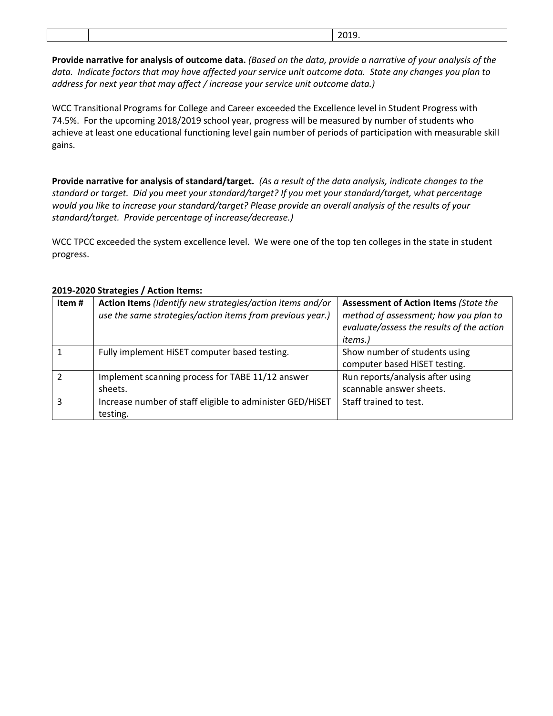|  | 2010<br>.ر_ر_<br>____ |
|--|-----------------------|

**Provide narrative for analysis of outcome data.** *(Based on the data, provide a narrative of your analysis of the data. Indicate factors that may have affected your service unit outcome data. State any changes you plan to address for next year that may affect / increase your service unit outcome data.)* 

WCC Transitional Programs for College and Career exceeded the Excellence level in Student Progress with 74.5%. For the upcoming 2018/2019 school year, progress will be measured by number of students who achieve at least one educational functioning level gain number of periods of participation with measurable skill gains.

**Provide narrative for analysis of standard/target.** *(As a result of the data analysis, indicate changes to the standard or target. Did you meet your standard/target? If you met your standard/target, what percentage would you like to increase your standard/target? Please provide an overall analysis of the results of your standard/target. Provide percentage of increase/decrease.)* 

WCC TPCC exceeded the system excellence level. We were one of the top ten colleges in the state in student progress.

| Item# | Action Items (Identify new strategies/action items and/or<br>use the same strategies/action items from previous year.) | <b>Assessment of Action Items (State the</b><br>method of assessment; how you plan to<br>evaluate/assess the results of the action<br><i>items.</i> ) |
|-------|------------------------------------------------------------------------------------------------------------------------|-------------------------------------------------------------------------------------------------------------------------------------------------------|
|       | Fully implement HiSET computer based testing.                                                                          | Show number of students using<br>computer based HiSET testing.                                                                                        |
|       | Implement scanning process for TABE 11/12 answer<br>sheets.                                                            | Run reports/analysis after using<br>scannable answer sheets.                                                                                          |
| з     | Increase number of staff eligible to administer GED/HiSET<br>testing.                                                  | Staff trained to test.                                                                                                                                |

#### **2019-2020 Strategies / Action Items:**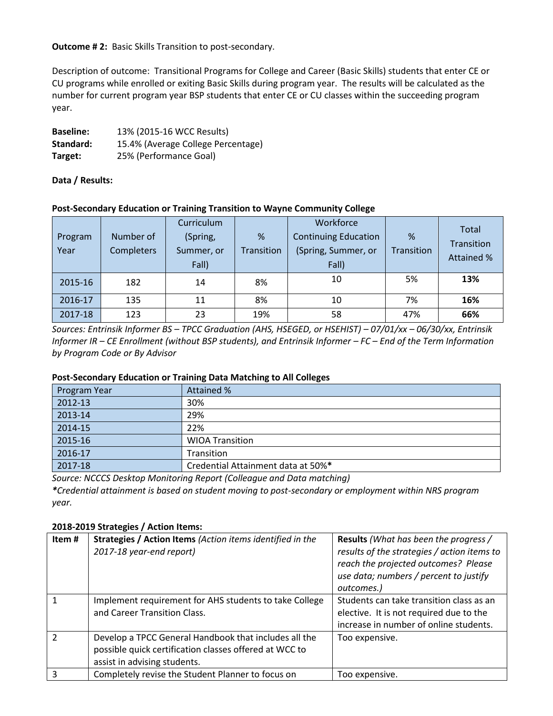**Outcome # 2:** Basic Skills Transition to post-secondary.

Description of outcome: Transitional Programs for College and Career (Basic Skills) students that enter CE or CU programs while enrolled or exiting Basic Skills during program year. The results will be calculated as the number for current program year BSP students that enter CE or CU classes within the succeeding program year.

| <b>Baseline:</b> | 13% (2015-16 WCC Results)          |
|------------------|------------------------------------|
| Standard:        | 15.4% (Average College Percentage) |
| Target:          | 25% (Performance Goal)             |

**Data / Results:** 

## **Post-Secondary Education or Training Transition to Wayne Community College**

| Program<br>Year | Number of<br><b>Completers</b> | Curriculum<br>(Spring,<br>Summer, or<br>Fall) | %<br>Transition | Workforce<br><b>Continuing Education</b><br>(Spring, Summer, or<br>Fall) | %<br>Transition | Total<br>Transition<br><b>Attained %</b> |
|-----------------|--------------------------------|-----------------------------------------------|-----------------|--------------------------------------------------------------------------|-----------------|------------------------------------------|
| 2015-16         | 182                            | 14                                            | 8%              | 10                                                                       | 5%              | 13%                                      |
| 2016-17         | 135                            | 11                                            | 8%              | 10                                                                       | 7%              | 16%                                      |
| 2017-18         | 123                            | 23                                            | 19%             | 58                                                                       | 47%             | 66%                                      |

*Sources: Entrinsik Informer BS – TPCC Graduation (AHS, HSEGED, or HSEHIST) – 07/01/xx – 06/30/xx, Entrinsik Informer IR – CE Enrollment (without BSP students), and Entrinsik Informer – FC – End of the Term Information by Program Code or By Advisor*

## **Post-Secondary Education or Training Data Matching to All Colleges**

| Program Year | Attained %                         |
|--------------|------------------------------------|
| 2012-13      | 30%                                |
| 2013-14      | 29%                                |
| 2014-15      | 22%                                |
| 2015-16      | <b>WIOA Transition</b>             |
| 2016-17      | Transition                         |
| 2017-18      | Credential Attainment data at 50%* |

*Source: NCCCS Desktop Monitoring Report (Colleague and Data matching)*

*\*Credential attainment is based on student moving to post-secondary or employment within NRS program year.* 

# **2018-2019 Strategies / Action Items:**

| Item#         | Strategies / Action Items (Action items identified in the<br>2017-18 year-end report)                                                           | <b>Results</b> (What has been the progress /<br>results of the strategies / action items to<br>reach the projected outcomes? Please<br>use data; numbers / percent to justify<br>outcomes.) |
|---------------|-------------------------------------------------------------------------------------------------------------------------------------------------|---------------------------------------------------------------------------------------------------------------------------------------------------------------------------------------------|
|               | Implement requirement for AHS students to take College<br>and Career Transition Class.                                                          | Students can take transition class as an<br>elective. It is not required due to the<br>increase in number of online students.                                                               |
| $\mathcal{P}$ | Develop a TPCC General Handbook that includes all the<br>possible quick certification classes offered at WCC to<br>assist in advising students. | Too expensive.                                                                                                                                                                              |
|               | Completely revise the Student Planner to focus on                                                                                               | Too expensive.                                                                                                                                                                              |